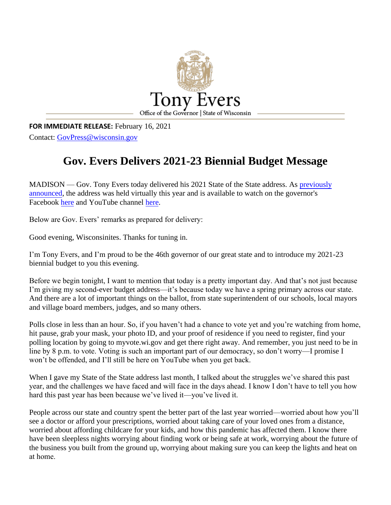

**FOR IMMEDIATE RELEASE:** February 16, 2021 Contact: [GovPress@wisconsin.gov](mailto:GovPress@wisconsin.gov)

# **Gov. Evers Delivers 2021-23 Biennial Budget Message**

MADISON — Gov. Tony Evers today delivered his 2021 State of the State address. As previously [announced,](https://content.govdelivery.com/accounts/WIGOV/bulletins/2af27cb) the address was held virtually this year and is available to watch on the governor's Facebook [here](https://www.facebook.com/GovernorTonyEvers/) and YouTube channel [here.](https://youtu.be/_RGfrYZt2ps)

Below are Gov. Evers' remarks as prepared for delivery:

Good evening, Wisconsinites. Thanks for tuning in.

I'm Tony Evers, and I'm proud to be the 46th governor of our great state and to introduce my 2021-23 biennial budget to you this evening.

Before we begin tonight, I want to mention that today is a pretty important day. And that's not just because I'm giving my second-ever budget address—it's because today we have a spring primary across our state. And there are a lot of important things on the ballot, from state superintendent of our schools, local mayors and village board members, judges, and so many others.

Polls close in less than an hour. So, if you haven't had a chance to vote yet and you're watching from home, hit pause, grab your mask, your photo ID, and your proof of residence if you need to register, find your polling location by going to myvote.wi.gov and get there right away. And remember, you just need to be in line by 8 p.m. to vote. Voting is such an important part of our democracy, so don't worry—I promise I won't be offended, and I'll still be here on YouTube when you get back.

When I gave my State of the State address last month, I talked about the struggles we've shared this past year, and the challenges we have faced and will face in the days ahead. I know I don't have to tell you how hard this past year has been because we've lived it—you've lived it.

People across our state and country spent the better part of the last year worried—worried about how you'll see a doctor or afford your prescriptions, worried about taking care of your loved ones from a distance, worried about affording childcare for your kids, and how this pandemic has affected them. I know there have been sleepless nights worrying about finding work or being safe at work, worrying about the future of the business you built from the ground up, worrying about making sure you can keep the lights and heat on at home.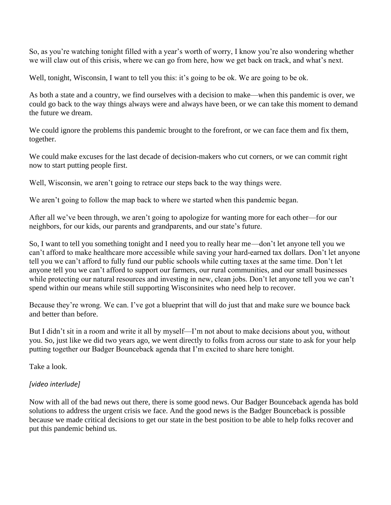So, as you're watching tonight filled with a year's worth of worry, I know you're also wondering whether we will claw out of this crisis, where we can go from here, how we get back on track, and what's next.

Well, tonight, Wisconsin, I want to tell you this: it's going to be ok. We are going to be ok.

As both a state and a country, we find ourselves with a decision to make—when this pandemic is over, we could go back to the way things always were and always have been, or we can take this moment to demand the future we dream.

We could ignore the problems this pandemic brought to the forefront, or we can face them and fix them, together.

We could make excuses for the last decade of decision-makers who cut corners, or we can commit right now to start putting people first.

Well, Wisconsin, we aren't going to retrace our steps back to the way things were.

We aren't going to follow the map back to where we started when this pandemic began.

After all we've been through, we aren't going to apologize for wanting more for each other—for our neighbors, for our kids, our parents and grandparents, and our state's future.

So, I want to tell you something tonight and I need you to really hear me—don't let anyone tell you we can't afford to make healthcare more accessible while saving your hard-earned tax dollars. Don't let anyone tell you we can't afford to fully fund our public schools while cutting taxes at the same time. Don't let anyone tell you we can't afford to support our farmers, our rural communities, and our small businesses while protecting our natural resources and investing in new, clean jobs. Don't let anyone tell you we can't spend within our means while still supporting Wisconsinites who need help to recover.

Because they're wrong. We can. I've got a blueprint that will do just that and make sure we bounce back and better than before.

But I didn't sit in a room and write it all by myself—I'm not about to make decisions about you, without you. So, just like we did two years ago, we went directly to folks from across our state to ask for your help putting together our Badger Bounceback agenda that I'm excited to share here tonight.

Take a look.

## *[video interlude]*

Now with all of the bad news out there, there is some good news. Our Badger Bounceback agenda has bold solutions to address the urgent crisis we face. And the good news is the Badger Bounceback is possible because we made critical decisions to get our state in the best position to be able to help folks recover and put this pandemic behind us.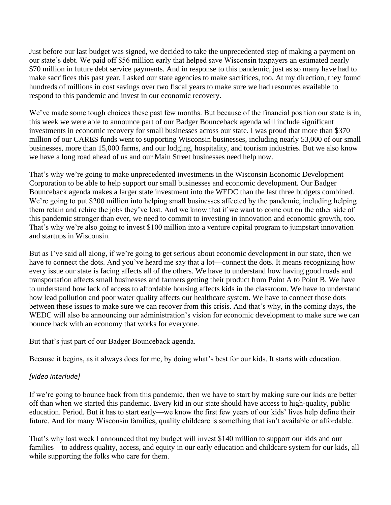Just before our last budget was signed, we decided to take the unprecedented step of making a payment on our state's debt. We paid off \$56 million early that helped save Wisconsin taxpayers an estimated nearly \$70 million in future debt service payments. And in response to this pandemic, just as so many have had to make sacrifices this past year, I asked our state agencies to make sacrifices, too. At my direction, they found hundreds of millions in cost savings over two fiscal years to make sure we had resources available to respond to this pandemic and invest in our economic recovery.

We've made some tough choices these past few months. But because of the financial position our state is in, this week we were able to announce part of our Badger Bounceback agenda will include significant investments in economic recovery for small businesses across our state. I was proud that more than \$370 million of our CARES funds went to supporting Wisconsin businesses, including nearly 53,000 of our small businesses, more than 15,000 farms, and our lodging, hospitality, and tourism industries. But we also know we have a long road ahead of us and our Main Street businesses need help now.

That's why we're going to make unprecedented investments in the Wisconsin Economic Development Corporation to be able to help support our small businesses and economic development. Our Badger Bounceback agenda makes a larger state investment into the WEDC than the last three budgets combined. We're going to put \$200 million into helping small businesses affected by the pandemic, including helping them retain and rehire the jobs they've lost. And we know that if we want to come out on the other side of this pandemic stronger than ever, we need to commit to investing in innovation and economic growth, too. That's why we're also going to invest \$100 million into a venture capital program to jumpstart innovation and startups in Wisconsin.

But as I've said all along, if we're going to get serious about economic development in our state, then we have to connect the dots. And you've heard me say that a lot—connect the dots. It means recognizing how every issue our state is facing affects all of the others. We have to understand how having good roads and transportation affects small businesses and farmers getting their product from Point A to Point B. We have to understand how lack of access to affordable housing affects kids in the classroom. We have to understand how lead pollution and poor water quality affects our healthcare system. We have to connect those dots between these issues to make sure we can recover from this crisis. And that's why, in the coming days, the WEDC will also be announcing our administration's vision for economic development to make sure we can bounce back with an economy that works for everyone.

But that's just part of our Badger Bounceback agenda.

Because it begins, as it always does for me, by doing what's best for our kids. It starts with education.

## *[video interlude]*

If we're going to bounce back from this pandemic, then we have to start by making sure our kids are better off than when we started this pandemic. Every kid in our state should have access to high-quality, public education. Period. But it has to start early—we know the first few years of our kids' lives help define their future. And for many Wisconsin families, quality childcare is something that isn't available or affordable.

That's why last week I announced that my budget will invest \$140 million to support our kids and our families—to address quality, access, and equity in our early education and childcare system for our kids, all while supporting the folks who care for them.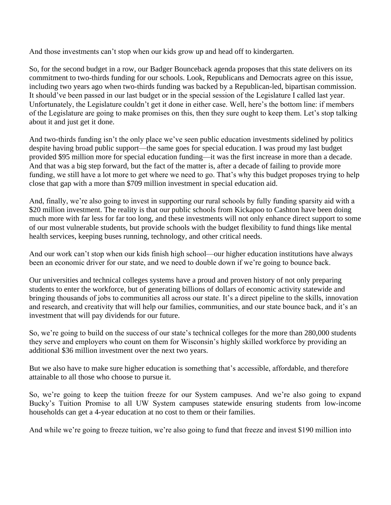And those investments can't stop when our kids grow up and head off to kindergarten.

So, for the second budget in a row, our Badger Bounceback agenda proposes that this state delivers on its commitment to two-thirds funding for our schools. Look, Republicans and Democrats agree on this issue, including two years ago when two-thirds funding was backed by a Republican-led, bipartisan commission. It should've been passed in our last budget or in the special session of the Legislature I called last year. Unfortunately, the Legislature couldn't get it done in either case. Well, here's the bottom line: if members of the Legislature are going to make promises on this, then they sure ought to keep them. Let's stop talking about it and just get it done.

And two-thirds funding isn't the only place we've seen public education investments sidelined by politics despite having broad public support—the same goes for special education. I was proud my last budget provided \$95 million more for special education funding—it was the first increase in more than a decade. And that was a big step forward, but the fact of the matter is, after a decade of failing to provide more funding, we still have a lot more to get where we need to go. That's why this budget proposes trying to help close that gap with a more than \$709 million investment in special education aid.

And, finally, we're also going to invest in supporting our rural schools by fully funding sparsity aid with a \$20 million investment. The reality is that our public schools from Kickapoo to Cashton have been doing much more with far less for far too long, and these investments will not only enhance direct support to some of our most vulnerable students, but provide schools with the budget flexibility to fund things like mental health services, keeping buses running, technology, and other critical needs.

And our work can't stop when our kids finish high school—our higher education institutions have always been an economic driver for our state, and we need to double down if we're going to bounce back.

Our universities and technical colleges systems have a proud and proven history of not only preparing students to enter the workforce, but of generating billions of dollars of economic activity statewide and bringing thousands of jobs to communities all across our state. It's a direct pipeline to the skills, innovation and research, and creativity that will help our families, communities, and our state bounce back, and it's an investment that will pay dividends for our future.

So, we're going to build on the success of our state's technical colleges for the more than 280,000 students they serve and employers who count on them for Wisconsin's highly skilled workforce by providing an additional \$36 million investment over the next two years.

But we also have to make sure higher education is something that's accessible, affordable, and therefore attainable to all those who choose to pursue it.

So, we're going to keep the tuition freeze for our System campuses. And we're also going to expand Bucky's Tuition Promise to all UW System campuses statewide ensuring students from low-income households can get a 4-year education at no cost to them or their families.

And while we're going to freeze tuition, we're also going to fund that freeze and invest \$190 million into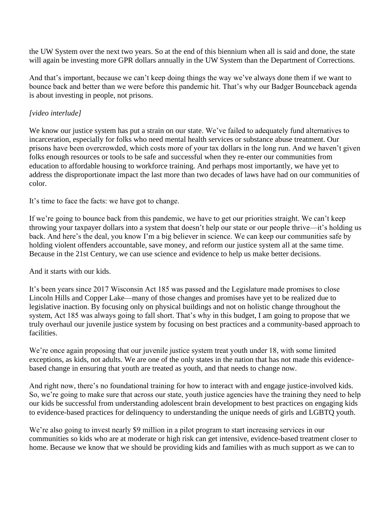the UW System over the next two years. So at the end of this biennium when all is said and done, the state will again be investing more GPR dollars annually in the UW System than the Department of Corrections.

And that's important, because we can't keep doing things the way we've always done them if we want to bounce back and better than we were before this pandemic hit. That's why our Badger Bounceback agenda is about investing in people, not prisons.

## *[video interlude]*

We know our justice system has put a strain on our state. We've failed to adequately fund alternatives to incarceration, especially for folks who need mental health services or substance abuse treatment. Our prisons have been overcrowded, which costs more of your tax dollars in the long run. And we haven't given folks enough resources or tools to be safe and successful when they re-enter our communities from education to affordable housing to workforce training. And perhaps most importantly, we have yet to address the disproportionate impact the last more than two decades of laws have had on our communities of color.

It's time to face the facts: we have got to change.

If we're going to bounce back from this pandemic, we have to get our priorities straight. We can't keep throwing your taxpayer dollars into a system that doesn't help our state or our people thrive—it's holding us back. And here's the deal, you know I'm a big believer in science. We can keep our communities safe by holding violent offenders accountable, save money, and reform our justice system all at the same time. Because in the 21st Century, we can use science and evidence to help us make better decisions.

And it starts with our kids.

It's been years since 2017 Wisconsin Act 185 was passed and the Legislature made promises to close Lincoln Hills and Copper Lake—many of those changes and promises have yet to be realized due to legislative inaction. By focusing only on physical buildings and not on holistic change throughout the system, Act 185 was always going to fall short. That's why in this budget, I am going to propose that we truly overhaul our juvenile justice system by focusing on best practices and a community-based approach to facilities.

We're once again proposing that our juvenile justice system treat youth under 18, with some limited exceptions, as kids, not adults. We are one of the only states in the nation that has not made this evidencebased change in ensuring that youth are treated as youth, and that needs to change now.

And right now, there's no foundational training for how to interact with and engage justice-involved kids. So, we're going to make sure that across our state, youth justice agencies have the training they need to help our kids be successful from understanding adolescent brain development to best practices on engaging kids to evidence-based practices for delinquency to understanding the unique needs of girls and LGBTQ youth.

We're also going to invest nearly \$9 million in a pilot program to start increasing services in our communities so kids who are at moderate or high risk can get intensive, evidence-based treatment closer to home. Because we know that we should be providing kids and families with as much support as we can to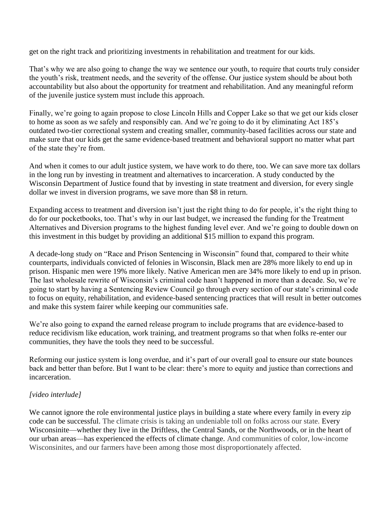get on the right track and prioritizing investments in rehabilitation and treatment for our kids.

That's why we are also going to change the way we sentence our youth, to require that courts truly consider the youth's risk, treatment needs, and the severity of the offense. Our justice system should be about both accountability but also about the opportunity for treatment and rehabilitation. And any meaningful reform of the juvenile justice system must include this approach.

Finally, we're going to again propose to close Lincoln Hills and Copper Lake so that we get our kids closer to home as soon as we safely and responsibly can. And we're going to do it by eliminating Act 185's outdated two-tier correctional system and creating smaller, community-based facilities across our state and make sure that our kids get the same evidence-based treatment and behavioral support no matter what part of the state they're from.

And when it comes to our adult justice system, we have work to do there, too. We can save more tax dollars in the long run by investing in treatment and alternatives to incarceration. A study conducted by the Wisconsin Department of Justice found that by investing in state treatment and diversion, for every single dollar we invest in diversion programs, we save more than \$8 in return.

Expanding access to treatment and diversion isn't just the right thing to do for people, it's the right thing to do for our pocketbooks, too. That's why in our last budget, we increased the funding for the Treatment Alternatives and Diversion programs to the highest funding level ever. And we're going to double down on this investment in this budget by providing an additional \$15 million to expand this program.

A decade-long study on "Race and Prison Sentencing in Wisconsin" found that, compared to their white counterparts, individuals convicted of felonies in Wisconsin, Black men are 28% more likely to end up in prison. Hispanic men were 19% more likely. Native American men are 34% more likely to end up in prison. The last wholesale rewrite of Wisconsin's criminal code hasn't happened in more than a decade. So, we're going to start by having a Sentencing Review Council go through every section of our state's criminal code to focus on equity, rehabilitation, and evidence-based sentencing practices that will result in better outcomes and make this system fairer while keeping our communities safe.

We're also going to expand the earned release program to include programs that are evidence-based to reduce recidivism like education, work training, and treatment programs so that when folks re-enter our communities, they have the tools they need to be successful.

Reforming our justice system is long overdue, and it's part of our overall goal to ensure our state bounces back and better than before. But I want to be clear: there's more to equity and justice than corrections and incarceration.

## *[video interlude]*

We cannot ignore the role environmental justice plays in building a state where every family in every zip code can be successful. The climate crisis is taking an undeniable toll on folks across our state. Every Wisconsinite—whether they live in the Driftless, the Central Sands, or the Northwoods, or in the heart of our urban areas—has experienced the effects of climate change. And communities of color, low-income Wisconsinites, and our farmers have been among those most disproportionately affected.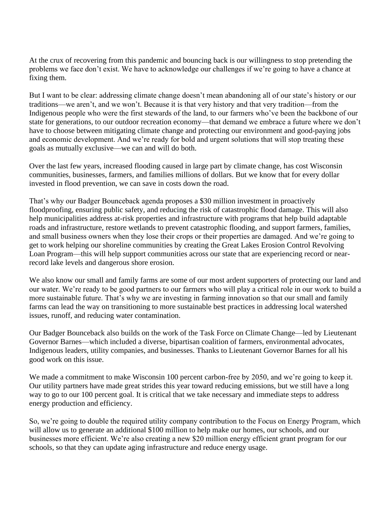At the crux of recovering from this pandemic and bouncing back is our willingness to stop pretending the problems we face don't exist. We have to acknowledge our challenges if we're going to have a chance at fixing them.

But I want to be clear: addressing climate change doesn't mean abandoning all of our state's history or our traditions—we aren't, and we won't. Because it is that very history and that very tradition—from the Indigenous people who were the first stewards of the land, to our farmers who've been the backbone of our state for generations, to our outdoor recreation economy—that demand we embrace a future where we don't have to choose between mitigating climate change and protecting our environment and good-paying jobs and economic development. And we're ready for bold and urgent solutions that will stop treating these goals as mutually exclusive—we can and will do both.

Over the last few years, increased flooding caused in large part by climate change, has cost Wisconsin communities, businesses, farmers, and families millions of dollars. But we know that for every dollar invested in flood prevention, we can save in costs down the road.

That's why our Badger Bounceback agenda proposes a \$30 million investment in proactively floodproofing, ensuring public safety, and reducing the risk of catastrophic flood damage. This will also help municipalities address at-risk properties and infrastructure with programs that help build adaptable roads and infrastructure, restore wetlands to prevent catastrophic flooding, and support farmers, families, and small business owners when they lose their crops or their properties are damaged. And we're going to get to work helping our shoreline communities by creating the Great Lakes Erosion Control Revolving Loan Program—this will help support communities across our state that are experiencing record or nearrecord lake levels and dangerous shore erosion.

We also know our small and family farms are some of our most ardent supporters of protecting our land and our water. We're ready to be good partners to our farmers who will play a critical role in our work to build a more sustainable future. That's why we are investing in farming innovation so that our small and family farms can lead the way on transitioning to more sustainable best practices in addressing local watershed issues, runoff, and reducing water contamination.

Our Badger Bounceback also builds on the work of the Task Force on Climate Change—led by Lieutenant Governor Barnes—which included a diverse, bipartisan coalition of farmers, environmental advocates, Indigenous leaders, utility companies, and businesses. Thanks to Lieutenant Governor Barnes for all his good work on this issue.

We made a commitment to make Wisconsin 100 percent carbon-free by 2050, and we're going to keep it. Our utility partners have made great strides this year toward reducing emissions, but we still have a long way to go to our 100 percent goal. It is critical that we take necessary and immediate steps to address energy production and efficiency.

So, we're going to double the required utility company contribution to the Focus on Energy Program, which will allow us to generate an additional \$100 million to help make our homes, our schools, and our businesses more efficient. We're also creating a new \$20 million energy efficient grant program for our schools, so that they can update aging infrastructure and reduce energy usage.